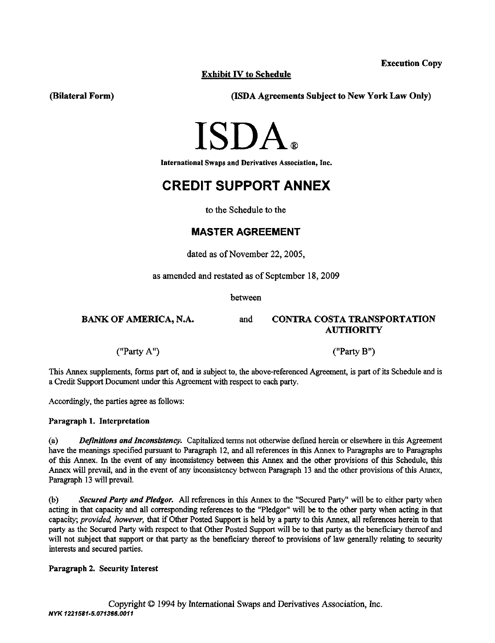**Exhibit IV to Schedule**

**(Bilateral Form) (ISDA Agreements Subject to New York Law Only)**

# ISDA

International Swaps and Derivatives Association, Inc.

## **CREDIT SUPPORT ANNEX**

to the Schedule to the

### **MASTER AGREEMENT**

dated as of November 22, 2005,

as amended and restated as of September 18, 2009

between

**BANK OF AMERICA, N.A.** and **CONTRA COSTA TRANSPORTATION AUTHORITY**

 $("Partv A")$   $("Partv B")$ 

This Annex supplements, forms part of, and is subject to, the above-referenced Agreement, is part of its Schedule and is a Credit Support Document under this Agreement with respect to each party.

Accordingly, the parties agree as follows:

#### Paragraph 1. Interpretation

(a) *Definitions and Inconsistency.* Capitalized terms not otherwise defined herein or elsewhere in this Agreement have the meanings specified pursuant to Paragraph 12, and all references in this Annex to Paragraphs are to Paragraphs of this Annex. In the event of any inconsistency between this Annex and the other provisions of this Schedule, this Annex will prevail, and in the event of any inconsistency between Paragraph 13 and the other provisions of this Annex, Paragraph 13 will prevail.

(b) *Secured Party and Pledgor.* All references in this Annex to the "Secured Party" will be to either party when acting in that capacity and all corresponding references to the "Pledgor" will be to the other party when acting in that capacity; *provided, however,* that if Other Posted Support is held by a party to this Annex, all references herein to that party as the Secured Party with respect to that Other Posted Support will be to that party as the beneficiary thereof and will not subject that support or that party as the beneficiary thereof to provisions of law generally relating to security interests and secured parties.

#### Paragraph 2. Security Interest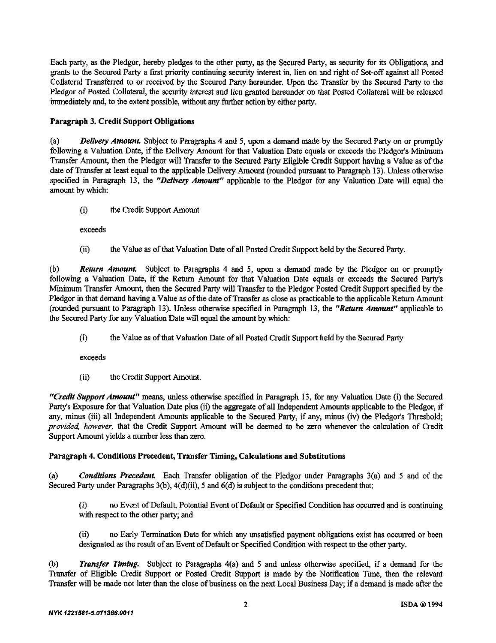Each party, as the Pledgor, hereby pledges to the other party, as the Secured Party, as security for its Obligations, and grants to the Secured Party a first priority continuing security interest in, lien on and right of Set-off against all Posted Collateral Transferred to or received by the Secured Party hereunder. Upon the Transfer by the Secured Party to the Pledgor of Posted Collateral, the security interest and lien granted hereunder on that Posted Collateral will be released immediately and, to the extent possible, without any further action by either party.

#### **Paragraph 3. Credit Support Obligations**

**(a)** *Delivery Amount* Subject to Paragraphs 4 and 5, upon a demand made by the Secured Party on or promptly following a Valuation Date, if the Delivery Amount for that Valuation Date equals or exceeds the Pledgor's Minimum Transfer Amount, then the Pledgor will Transfer to the Secured Party Eligible Credit Support having a Value as of the date of Transfer at least equal to the applicable Delivery Amount (rounded pursuant to Paragraph 13). Unless otherwise specified in Paragraph 13, the *"Delivery Amount"* applicable to the Pledgor for any Valuation Date will equal the amount by which:

(i) the Credit Support Amount

exceeds

(ii) the Value as of that Valuation Date of all Posted Credit Support held by the Secured Party.

(b) *Return Amount* Subject to Paragraphs 4 and 5, upon a demand made by the Pledgor on or promptly following a Valuation Date, if the Return Amount for that Valuation Date equals or exceeds the Secured Party's Minimum Transfer Amount, then the Secured Party will Transfer to the Pledgor Posted Credit Support specified by the Pledgor in that demand having a Value as of the date of Transfer as close as practicable to the applicable Return Amount (rounded pursuant to Paragraph 13). Unless otherwise specified in Paragraph 13, the *"Return Amount"* applicable to the Secured Party for any Valuation Date will equal the amount by which:

(i) the Value as of that Valuation Date of all Posted Credit Support held by the Secured Party

exceeds

(ii) the Credit Support Amount.

*"Credit Support Amount"* means, unless otherwise specified in Paragraph 13, for any Valuation Date (i) the Secured Party's Exposure for that Valuation Date plus (ii) the aggregate of all Independent Amounts applicable to the Pledgor, if any, minus (iii) all Independent Amounts applicable to the Secured Party, if any, minus (iv) the Pledgor's Threshold; *provided, however,* that the Credit Support Amount will be deemed to be zero whenever the calculation of Credit Support Amount yields a number less than zero.

#### **Paragraph 4. Conditions Precedent, Transfer Timing, Calculations and Substitutions**

(a) *Conditions Precedent* Each Transfer obligation of the Pledgor under Paragraphs 3 (a) and 5 and of the Secured Party under Paragraphs 3(b), 4(d)(ii), 5 and 6(d) is subject to the conditions precedent that:

(i) no Event of Default, Potential Event of Default or Specified Condition has occurred and is continuing with respect to the other party; and

(ii) no Early Termination Date for which any unsatisfied payment obligations exist has occurred or been designated as the result of an Event of Default or Specified Condition with respect to the other party.

(b) *Transfer Timing.* Subject to Paragraphs 4(a) and 5 and unless otherwise specified, if a demand for the Transfer of Eligible Credit Support or Posted Credit Support is made by the Notification Time, then the relevant Transfer will be made not later than the close of business on the next Local Business Day; if a demand is made after the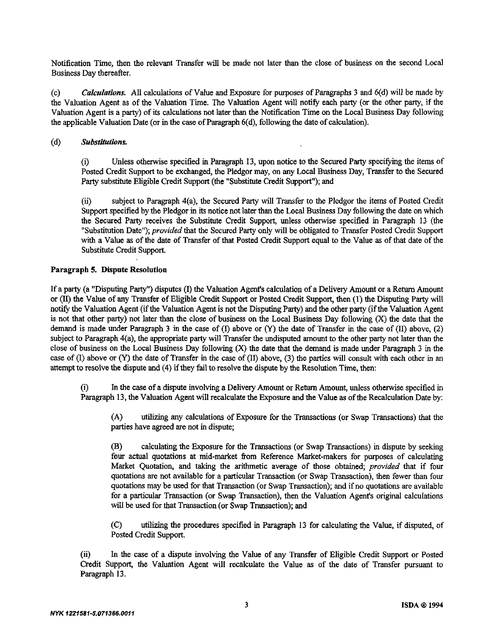Notification Time, then the relevant Transfer will be made not later than the close of business on the second Local Business Day thereafter.

(c) *Calculations.* All calculations of Value and Exposure for purposes of Paragraphs 3 and 6(d) will be made by the Valuation Agent as of the Valuation Time. The Valuation Agent will notify each party (or the other party, if the Valuation Agent is a party) of its calculations not later than the Notification Time on the Local Business Day following the applicable Valuation Date (or in the case of Paragraph 6(d), following the date of calculation).

#### **(d)** *Substitutions.*

(i) Unless otherwise specified in Paragraph 13, upon notice to the Secured Party specifying the items of Posted Credit Support to be exchanged, the Pledgor may, on any Local Business Day, Transfer to the Secured Party substitute Eligible Credit Support (the "Substitute Credit Support"); and

(ii) subject to Paragraph 4(a), the Secured Party will Transfer to the Pledgor the items of Posted Credit Support specified by the Pledgor in its notice not later than the Local Business Day following the date on which the Secured Party receives the Substitute Credit Support, unless otherwise specified in Paragraph 13 (the "Substitution Date"); *provided* that the Secured Party only will be obligated to Transfer Posted Credit Support with a Value as of the date of Transfer of that Posted Credit Support equal to the Value as of that date of the Substitute Credit Support.

#### **Paragraph 5. Dispute Resolution**

If a parfy (a "Disputing Parfy") disputes (I) the Valuation Agent's calculation of a Delivery Amount or a Return Amount or (II) the Value of any Transfer of Eligible Credit Support or Posted Credit Support, then (1) the Disputing Parfy will notify the Valuation Agent (if the Valuation Agent is not the Disputing Parfy) and the other parfy (if the Valuation Agent is not that other party) not later than the close of business on the Local Business Day following (X) the date that the demand is made under Paragraph 3 in the case of (I) above or (Y) the date of Transfer in the case of (II) above, (2) subject to Paragraph 4(a), the appropriate parfy will Transfer the undisputed amount to the other parfy not later than the close of business on the Local Business Day following  $(X)$  the date that the demand is made under Paragraph 3 in the case of (I) above or (Y) the date of Transfer in the case of (II) above, (3) the parties will consult with each other in an attempt to resolve the dispute and (4) if they fail to resolve the dispute by the Resolution Time, then:

(i) In the case of a dispute involving a Delivery Amount or Return Amount, unless otherwise specified in Paragraph 13, the Valuation Agent will recalculate the Exposure and the Value as of the Recalculation Date by:

(A) utilizing any calculations of Exposure for the Transactions (or Swap Transactions) that the parties have agreed are not in dispute;

(B) calculating the Exposure for the Transactions (or Swap Transactions) in dispute by seeking four actual quotations at mid-market from Reference Market-makers for purposes of calculating Market Quotation, and taking the arithmetic average of those obtained; *provided* that if four quotations are not available for a particular Transaction (or Swap Transaction), then fewer than four quotations may be used for that Transaction (or Swap Transaction); and if no quotations are available for a particular Transaction (or Swap Transaction), then the Valuation Agent's original calculations will be used for that Transaction (or Swap Transaction); and

(C) utilizing the procedures specified in Paragraph 13 for calculating the Value, if disputed, of Posted Credit Support.

(ii) In the case of a dispute involving the Value of any Transfer of Eligible Credit Support or Posted Credit Support, the Valuation Agent will recalculate the Value as of the date of Transfer pursuant to Paragraph 13.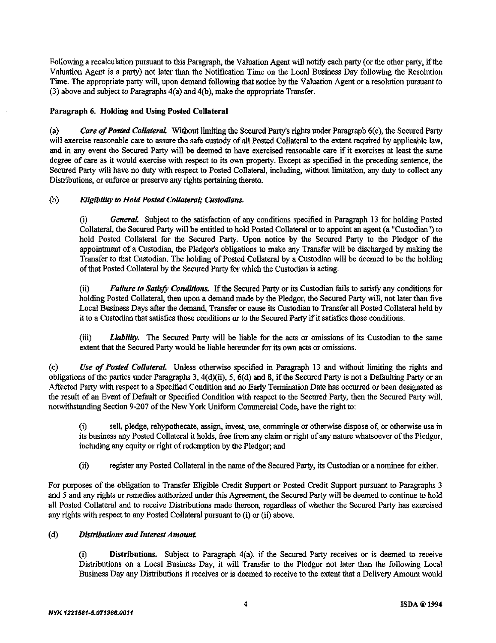Following a recalculation pursuant to this Paragraph, the Valuation Agent will notify each party (or the other party, if the Valuation Agent is a party) not later than the Notification Time on the Local Business Day following the Resolution Time. The appropriate party will, upon demand following that notice by the Valuation Agent or a resolution pursuant to (3) above and subject to Paragraphs 4(a) and 4(b), make the appropriate Transfer.

#### **Paragraph 6. Holding and Using Posted Collateral**

**(a)** *Care of Posted Collateral* Without limiting the Secured Party's rights under Paragraph 6(c), the Secured Party will exercise reasonable care to assure the safe custody of all Posted Collateral to the extent required by applicable law, and in any event the Secured Party will be deemed to have exercised reasonable care if it exercises at least the same degree of care as it would exercise with respect to its own property. Except as specified in the preceding sentence, the Secured Party will have no duty with respect to Posted Collateral, including, without limitation, any duty to collect any Distributions, or enforce or preserve any rights pertaining thereto.

#### **(b)** *Eligibility to Hold Posted Collateral; Custodians.*

(i) *General* Subject to the satisfaction of any conditions specified in Paragraph 13 for holding Posted Collateral, the Secured Party will be entitled to hold Posted Collateral or to appoint an agent (a "Custodian") to hold Posted Collateral for the Secured Party. Upon notice by the Secured Party to the Pledgor of the appointment of a Custodian, the Pledgor's obligations to make any Transfer will be discharged by making the Transfer to that Custodian. The holding of Posted Collateral by a Custodian will be deemed to be the holding of that Posted Collateral by the Secured Party for which the Custodian is acting.

(ii) *Failure to Satisfy Conditions.* If the Secured Party or its Custodian fails to satisfy any conditions for holding Posted Collateral, then upon a demand made by the Pledgor, the Secured Parfy will, not later than five Local Business Days after the demand. Transfer or cause its Custodian to Transfer all Posted Collateral held by it to a Custodian that satisfies those conditions or to the Secured Party if it satisfies those conditions.

(iii) *Liability.* The Secured Parfy will be liable for the acts or omissions of its Custodian to the same extent that the Secured Parfy would be liable hereunder for its own acts or omissions.

(c) *Use of Posted Collateral.* Unless otherwise specified in Paragraph 13 and without limiting the rights and obligations of the parties under Paragraphs 3, 4(d)(ii), 5, 6(d) and 8, if the Secured Parfy is not a Defaulting Parfy or an Affected Parfy with respect to a Specified Condition and no Early Termination Date has occurred or been designated as the result of an Event of Default or Specified Condition with respect to the Secured Parfy, then the Secured Parfy will, notwithstanding Section 9-207 of the New York Uniform Commercial Code, have the right to:

(i) sell, pledge, rehypothecate, assign, invest, use, commingle or otherwise dispose of, or otherwise use in its business any Posted Collateral it holds, iree from any claim or right of any nature whatsoever of the Pledgor, including any equify or right of redemption by the Pledgor; and

(ii) register any Posted Collateral in the name of the Secured Parfy, its Custodian or a nominee for either.

For purposes of the obligation to Transfer Eligible Credit Support or Posted Credit Support pursuant to Paragraphs 3 and 5 and any rights or remedies authorized under this Agreement, the Secured Parfy will be deemed to continue to hold all Posted Collateral and to receive Distributions made thereon, regardless of whether the Secured Parfy has exercised any rights with respect to any Posted Collateral pursuant to (i) or (ii) above.

#### **(d)** *Distributions and Interest Amount.*

(i) **Distributions.** Subject to Paragraph 4(a), if the Secured Parfy receives or is deemed to receive Distributions on a Local Business Day, it will Transfer to the Pledgor not later than the following Local Business Day any Distributions it receives or is deemed to receive to the extent that a Delivery Amount would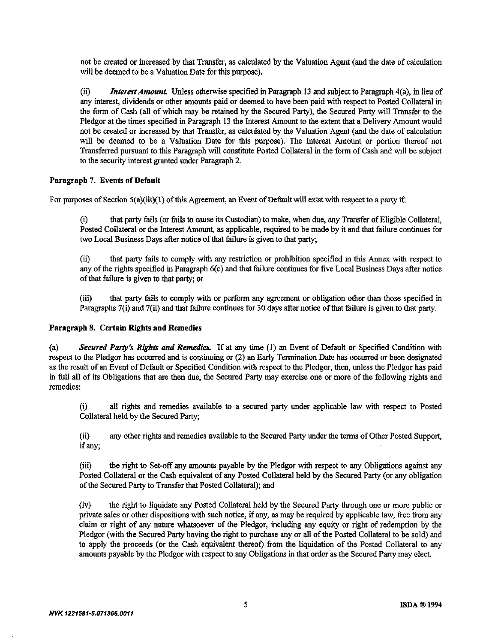not be created or increased by that Transfer, as calculated by the Valuation Agent (and the date of calculation will be deemed to be a Valuation Date for this purpose).

(ii) *Interest Amount.* Unless otherwise specified in Paragraph 13 and subject to Paragraph 4(a), in lieu of any interest, dividends or other amounts paid or deemed to have been paid with respect to Posted Collateral in the form of Cash (all of which may be retained by the Secured Party), the Secured Party will Transfer to the Pledgor at the times specified in Paragraph 13 the Interest Amount to the extent that a Delivery Amount would not be created or increased by that Transfer, as calculated by the Valuation Agent (and the date of calculation will be deemed to be a Valuation Date for this purpose). The Interest Amount or portion thereof not Transferred pursuant to this Paragraph will constitute Posted Collateral in the form of Cash and will be subject to the security interest granted under Paragraph 2.

#### **Paragraph 7. Events of Default**

For purposes of Section 5(a)(iii)(l) of this Agreement, an Event of Default will exist with respect to a party if:

(i) that party fails (or fails to cause its Custodian) to make, when due, any Transfer of Eligible Collateral, Posted Collateral or the Interest Amount, as applicable, required to be made by it and that failure continues for two Local Business Days after notice of that failure is given to that party;

(ii) that party fails to comply with any restriction or prohibition specified in this Annex with respect to any of the rights specified in Paragraph 6(c) and that failure continues for five Local Business Days after notice of that failure is given to that party; or

(iii) that party fails to comply with or perform any agreement or obligation other than those specified in Paragraphs 7(i) and 7(ii) and that failure continues for 30 days after notice of that failure is given to that party.

#### **Paragraph 8. Certain Rights and Remedies**

**(a)** *Secured Party's Rights and Remedies.* If at any time (1) an Event of Default or Specified Condition with respect to the Pledgor has occurred and is continuing or (2) an Early Termination Date has occurred or been designated as the result of an Event of Default or Specified Condition with respect to the Pledgor, then, unless the Pledgor has paid in full all of its Obligations that are then due, the Secured Party may exercise one or more of the following rights and remedies:

(i) all rights and remedies available to a secured party under applicable law with respect to Posted Collateral held by the Secured Party;

(ii) any other rights and remedies available to the Secured Party under the terms of Other Posted Support, if any;

(iii) the right to Set-off any amounts payable by the Pledgor with respect to any Obligations against any Posted Collateral or the Cash equivalent of any Posted Collateral held by the Secured Party (or any obligation of the Secured Party to Transfer that Posted Collateral); and

(iv) the right to liquidate any Posted Collateral held by the Secured Party through one or more public or private sales or other dispositions with such notice, if any, as may be required by applicable law, free from any claim or right of any nature whatsoever of the Pledgor, including any equity or right of redemption by the Pledgor (with the Secured Party having the right to purchase any or all of the Posted Collateral to be sold) and to apply the proceeds (or the Cash equivalent thereof) from the liquidation of the Posted Collateral to any amounts payable by the Pledgor with respect to any Obligations in that order as the Secured Party may elect.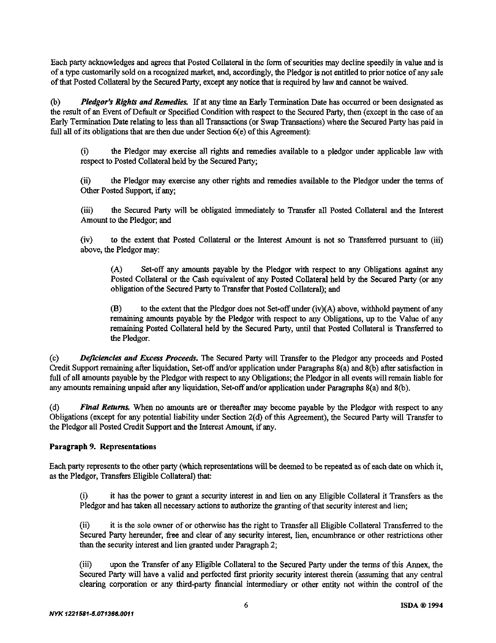Each party acknowledges and agrees that Posted Collateral in the form of securities may decline speedily in value and is of a type customarily sold on a recognized market, and, accordingly, the Pledgor is not entitled to prior notice of any sale of that Posted Collateral by the Secwed Party, except any notice that is required by law and cannot be waived.

(b) *Pledgor's Rights and Remedies.* If at any time an Early Termination Date has occurred or been designated as the result of an Event of Default or Specified Condition with respect to the Secured Party, then (except in the case of an Early Termination Date relating to less than all Transactions (or Swap Transactions) where the Secured Party has paid in full all of its obligations that are then due under Section  $6(e)$  of this Agreement):

(i) the Pledgor may exercise all rights and remedies available to a pledgor under applicable law with respect to Posted Collateral held by the Secured Party;

(ii) the Pledgor may exercise any other rights and remedies available to the Pledgor under the terms of Other Posted Support, if any;

(iii) the Secured Party will be obligated immediately to Transfer all Posted Collateral and the Interest Amount to the Pledgor; and

(iv) to the extent that Posted Collateral or the Interest Amount is not so Transferred pursuant to (iii) above, the Pledgor may:

(A) Set-off any amounts payable by the Pledgor with respect to any Obligations against any Posted Collateral or the Cash equivalent of any Posted Collateral held by the Secured Party (or any obligation of the Secured Party to Transfer that Posted Collateral); and

 $(B)$  to the extent that the Pledgor does not Set-off under  $(iv)(A)$  above, withhold payment of any remaining amounts payable by the Pledgor with respect to any Obligations, up to the Value of any remaining Posted Collateral held by the Secured Party, until that Posted Collateral is Transferred to the Pledgor.

(c) *Deficiencies and Excess Proceeds.* The Secured Party will Transfer to the Pledgor any proceeds and Posted Credit Support remaining after liquidation. Set-off and/or application under Paragraphs 8(a) and 8(b) after satisfaction in full of all amounts payable by the Pledgor with respect to any Obligations; the Pledgor in all events will remain liable for any amounts remaining unpaid after any liquidation. Set-off and/or application under Paragraphs 8(a) and 8(b).

(d) *Finai Returns.* When no amounts are or thereafter may become payable by the Pledgor with respect to any Obligations (except for any potential liability under Section 2(d) of this Agreement), the Secured Party will Transfer to the Pledgor all Posted Credit Support and the Interest Amount, if any.

#### **Paragraph 9. Representations**

Each party represents to the other party (which representations will be deemed to be repeated as of each date on which it, as the Pledgor, Transfers Eligible Collateral) that:

(i) it has the power to grant a security interest in and lien on any Eligible Collateral it Transfers as the Pledgor and has taken all necessary actions to authorize the granting of that security interest and lien;

(ii) it is the sole owner of or otherwise has the right to Transfer all Eligible Collateral Transferred to the Secured Party hereunder, free and clear of any security interest, lien, encumbrance or other restrictions other than the security interest and lien granted under Paragraph 2;

(iii) upon the Transfer of any Eligible Collateral to the Secured Party under the terms of this Annex, the Secured Party will have a valid and perfected first priority security interest therein (assuming that any central clearing corporation or any third-party financial intermediary or other entity not within the control of the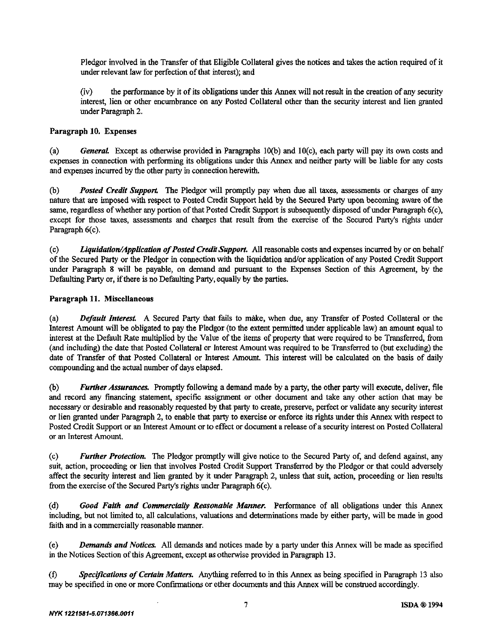Pledgor involved in the Transfer of that Eligible Collateral gives the notices and takes the action required of it under relevant law for perfection of that interest); and

(iv) the performance by it of its obligations under this Annex will not result in the creation of any security interest, lien or other encumbrance on any Posted Collateral other than the security interest and lien granted under Paragraph 2.

#### **Paragraph 10. Expenses**

(a) *General* Except as otherwise provided in Paragraphs 10(b) and 10(c), each party will pay its own costs and expenses in connection with performing its obligations under this Annex and neither party will be liable for any costs and expenses incurred by the other party in connection herewith.

(b) *Posted Credit Support* The Pledgor will promptly pay when due all taxes, assessments or charges of any nature that are imposed with respect to Posted Credit Support held by the Secured Party upon becoming aware of the same, regardless of whether any portion of that Posted Credit Support is subsequently disposed of under Paragraph 6(c), except for those taxes, assessments and charges that result from the exercise of the Secured Party's rights under Paragraph 6(c).

(c) *Liquidation/Application of Posted Credit Support.* All reasonable costs and expenses incurred by or on behalf of the Secured Party or the Pledgor in connection with the liquidation and/or application of any Posted Credit Support under Paragraph 8 will be payable, on demand and pursuant to the Expenses Section of this Agreement, by the Defaulting Party or, if there is no Defaulting Party, equally by the parties.

#### **Paragraph 11. Miscellaneous**

**(a)** *Default Interest* A Secured Party that fails to make, when due, any Transfer of Posted Collateral or the Interest Amount will be obligated to pay the Pledgor (to the extent permitted under applicable law) an amount equal to interest at the Default Rate multiplied by the Value of the items of property that were required to be Transferred, from (and including) the date that Posted Collateral or Interest Amount was required to be Transferred to (but excluding) the date of Transfer of that Posted Collateral or Interest Amount. This interest will be calculated on the basis of daily compoimding and the actual number of days elapsed.

(b) *Further Assurances.* Promptly following **a** demand made by a party, the other party will execute, deliver, file and record any financing statement, specific assignment or other document and take any other action that may be necessary or desirable and reasonably requested by that party to create, preserve, perfect or validate any security interest or lien granted under Paragraph 2, to enable that party to exercise or enforce its rights under this Annex with respect to Posted Credit Support or an Interest Amount or to effect or document a release of a security interest on Posted Collateral or an Interest Amount.

(c) *Further Protection.* The Pledgor promptly will give notice to the Secured Party of, and defend against, any suit, action, proceeding or lien that involves Posted Credit Support Transferred by the Pledgor or that could adversely affect the security interest and lien granted by it under Paragraph 2, unless that suit, action, proceeding or lien results from the exercise of the Secured Party's rights under Paragraph 6(c).

(d) *Good Faith and Commercially Reasonable Manner.* Performance of all obligations under this Annex including, but not limited to, all calculations, valuations and determinations made by either party, will be made in good faith and in a commercially reasonable manner.

(e) *Demands and Notices.* All demands and notices made by a party \mder this Annex will be made as specified in the Notices Section of this Agreement, except as otherwise provided in Paragraph 13.

(f) *Specifications of Certain Matters.* Anything referred to in this Annex as being specified in Paragraph 13 also may be specified in one or more Confirmations or other documents and this Annex will be construed accordingly.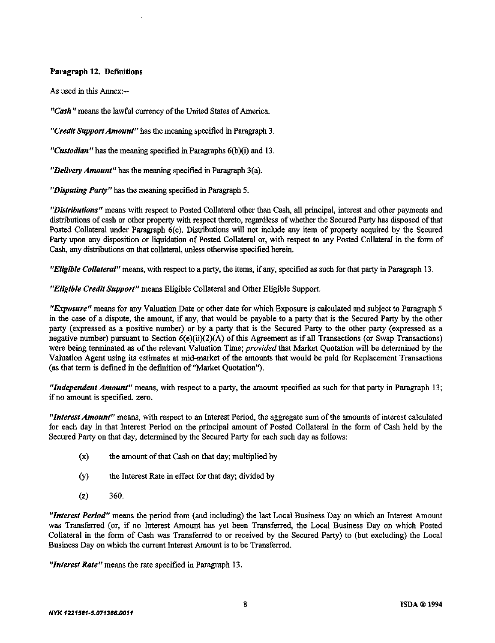#### **Paragraph 12. Definitions**

As used in this Annex:-

*"Cash "* means the lawful currency of the United States of America.

*"Credit Support Amount"* has the meaning specified in Paragraph 3.

*"Custodian"* has the meaning specified in Paragraphs 6(b)(i) and 13.

*"Delivery Amount"* has the meaning specified in Paragraph 3(a).

*"Disputing Party"* has the meaning specified in Paragraph 5.

*"Distributions"* means with respect to Posted Collateral other than Cash, all principal, interest and other payments and distributions of cash or other property with respect thereto, regardless of whether the Secured Party has disposed of that Posted Collateral under Paragraph 6(c). Distributions will not include any item of property acquired by the Secured Party upon any disposition or liquidation of Posted Collateral or, with respect to any Posted Collateral in the form of Cash, any distributions on that collateral, unless otherwise specified herein.

*"Eligible Collateral"* means, with respect to a party, the items, if any, specified as such for that party in Paragraph 13.

*"Eligible Credit Support"* means Eligible Collateral and Other Eligible Support.

*"Exposure"* means for any Valuation Date or other date for which Exposure is calculated and subject to Paragraph 5 in the case of a dispute, the amount, if any, that would be payable to a party that is the Secured Party by the other party (expressed as a positive number) or by a party that is the Secured Party to the other party (expressed as a negative number) pursuant to Section 6(e)(ii)(2)(A) of this Agreement as if all Transactions (or Swap Transactions) were being terminated as of the relevant Valuation Time; *provided* that Market Quotation will be determined by the Valuation Agent using its estimates at mid-market of the amounts that would be paid for Replacement Transactions (as that term is defined in the definition of "Market Quotation").

*"Independent Amount"* means, with respect to a party, the amount specified as such for that party in Paragraph 13; if no amount is specified, zero.

*"Interest Amount"* means, with respect to an Interest Period, the aggregate sum of the amounts of interest calculated for each day in that Interest Period on the principal amount of Posted Collateral in the form of Cash held by the Secured Party on that day, determined by the Secured Party for each such day as follows:

- (x) the amount of that Cash on that day; multiplied by
- (y) the Interest Rate in effect for that day; divided by
- $(z)$  360.

"Interest Period" means the period from (and including) the last Local Business Day on which an Interest Amount was Transferred (or, if no Interest Amount has yet been Transferred, the Local Business Day on which Posted Collateral in the form of Cash was Transferred to or received by the Secured Party) to (but excluding) the Local Business Day on which the current Interest Amount is to be Transferred.

*"Interest Rate"* means the rate specified in Paragraph 13.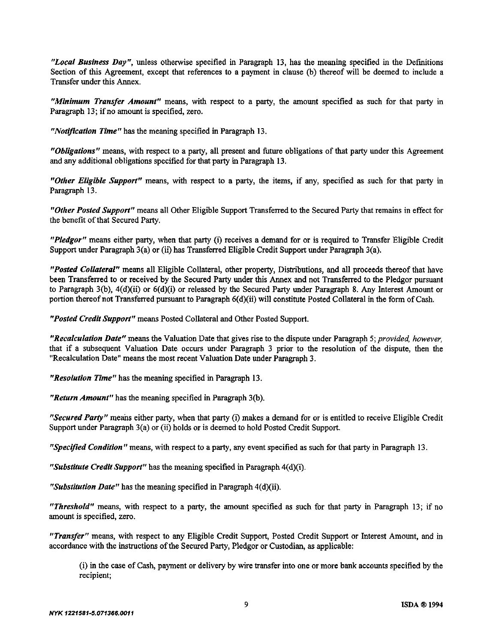*"Local Business Day",* unless otherwise specified in Paragraph 13, has the meaning specified in the Definitions Section of this Agreement, except that references to a payment in clause (b) thereof will be deemed to include a Transfer under this Annex.

*"Minimum Transfer Amount"* means, with respect to a party, the amount specified as such for that party in Paragraph 13; if no amount is specified, zero.

*"Notification Time"* has the meaning specified in Paragraph 13.

*"Obligations"* means, with respect to a party, all present and future obligations of that party imder this Agreement and any additional obligations specified for that party in Paragraph 13,

*"Other Eligible Support"* means, with respect to a party, the items, if any, specified as such for that party in Paragraph 13.

*"Other Posted Support"* means all Other Eligible Support Transferred to the Secured Party that remains in effect for the benefit of that Secured Party.

*"Pledgor"* means either party, when that party (i) receives a demand for or is required to Transfer Eligible Credit Support under Paragraph 3(a) or (ii) has Transferred Eligible Credit Support under Paragraph 3(a).

*"Posted Collateral"* means all Eligible Collateral, other property. Distributions, and all proceeds thereof that have been Transferred to or received by the Secured Party under this Annex and not Transferred to the Pledgor pursuant to Paragraph 3(b), 4(d)(ii) or 6(d)(i) or released by the Secured Party under Paragraph 8. Any Interest Amount or portion thereof not Transferred pursuant to Paragraph 6(d)(ii) will constitute Posted Collateral in the form of Cash.

*"Posted Credit Support"* means Posted Collateral and Other Posted Support.

*"Recalculation Date"* means the Valuation Date that gives rise to the dispute under Paragraph 5; provided, however, that if a subsequent Valuation Date occurs under Paragraph 3 prior to the resolution of the dispute, then the "Recalculation Date" means the most recent Valuation Date under Paragraph 3.

*"Resolution Time"* has the meaning specified in Paragraph 13.

*"Return Amount"* has the meaning specified in Paragraph 3(b).

*"Secured Party"* meahs either party, when that party (i) makes a demand for or is entitled to receive Eligible Credit Support under Paragraph 3(a) or (ii) holds or is deemed to hold Posted Credit Support.

*"Specified Condition* " means, with respect to a party, any event specified as such for that party in Paragraph 13.

*"Substitute Credit Support"* has the meaning specified in Paragraph 4(d)(i).

*"Substitution Date"* has the meaning specified in Paragraph 4(d)(ii).

*"Threshold"* means, with respect to a party, the amount specified as such for that party in Paragraph 13; if no amount is specified, zero.

*"Transfer"* means, with respect to any Eligible Credit Support, Posted Credit Support or Interest Amount, and in accordance with the instructions of the Secured Party, Pledgor or Custodian, as applicable:

(i) in the case of Cash, payment or delivery by wire transfer into one or more bank accounts specified by the recipient;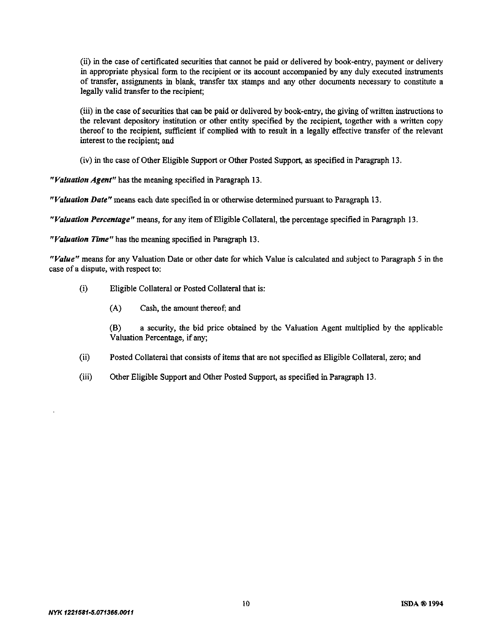(ii) in the case of certificated securities that cannot be paid or delivered by book-entry, payment or delivery in appropriate physical form to the recipient or its account accompanied by any duly executed instruments of transfer, assignments in blank, transfer tax stamps and any other documents necessary to constitute a legally valid transfer to the recipient;

(iii) in the case of securities that can be paid or delivered by book-entry, the giving of ^witten instructions to the relevant depository institution or other entity specified by the recipient, together with a written copy thereof to the recipient, sufficient if complied with to result in a legally effective transfer of the relevant interest to the recipient; and

(iv) in the case of Other Eligible Support or Other Posted Support, as specified in Paragraph 13.

*"Valuation Agent"* has the meaning specified in Paragraph 13.

*"Valuation Date"* means each date specified in or otherwise determined pursuant to Paragraph 13.

*"Valuation Percentage"* means, for any item of Eligible Collateral, the percentage specified in Paragraph 13.

*"Valuation Time"* has the meaning specified in Paragraph 13.

*"Value"* means for any Valuation Date or other date for which Value is calculated and subject to Paragraph 5 in the case of a dispute, with respect to:

- (i) Eligible Collateral or Posted Collateral that is:
	- (A) Cash, the amount thereof; and

(B) a security, the bid price obtained by the Valuation Agent multiplied by the applicable Valuation Percentage, if any;

- (ii) Posted Collateral that consists of items that are not specified as Eligible Collateral, zero; and
- (iii) Other Eligible Support and Other Posted Support, as specified in Paragraph 13.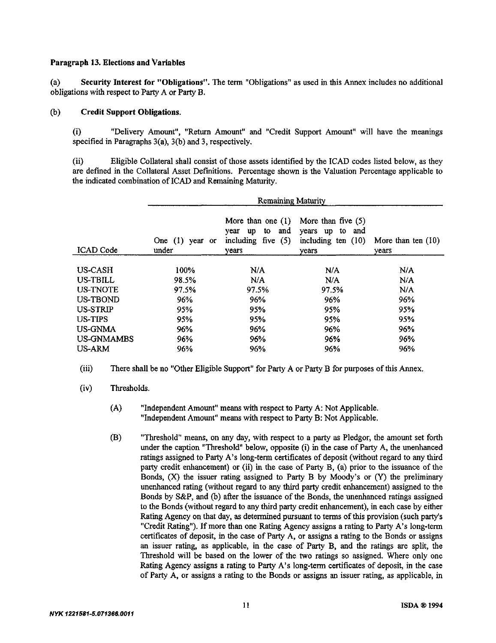#### **Paragraph 13. Elections and Variables**

**(a) Security Interest for "Obligations".** The term "Obligations" as used in this Annex includes no additional obligations with respect to Party A or Party B.

#### (b) **Credit Support Obligations.**

(i) "Delivery Amount", "Return Amount" and "Credit Support Amount" will have the meanings specified in Paragraphs 3(a), 3(b) and 3, respectively.

(ii) Eligible Collateral shall consist of those assets identified by the ICAD codes listed below, as they are defined in the Collateral Asset Definitions. Percentage shown is the Valuation Percentage applicable to the indicated combination of ICAD and Remaining Maturity.

|                  | Remaining Maturity         |                                                                                    |                                                                               |                               |
|------------------|----------------------------|------------------------------------------------------------------------------------|-------------------------------------------------------------------------------|-------------------------------|
| <b>ICAD</b> Code | One $(1)$ year or<br>under | More than one $(1)$<br>to<br>and<br>vear<br>up<br>including<br>five $(5)$<br>vears | More than five $(5)$<br>to<br>and<br>years up<br>including $ten(10)$<br>vears | More than ten $(10)$<br>years |
|                  |                            |                                                                                    |                                                                               |                               |
| US-CASH          | 100%                       | N/A                                                                                | N/A                                                                           | N/A                           |
| US-TBILL         | 98.5%                      | N/A                                                                                | N/A                                                                           | N/A                           |
| <b>US-TNOTE</b>  | 97.5%                      | 97.5%                                                                              | 97.5%                                                                         | N/A                           |
| US-TBOND         | 96%                        | 96%                                                                                | 96%                                                                           | 96%                           |
| <b>US-STRIP</b>  | 95%                        | 95%                                                                                | 95%                                                                           | 95%                           |
| <b>US-TIPS</b>   | 95%                        | 95%                                                                                | 95%                                                                           | 95%                           |
| US-GNMA          | 96%                        | 96%                                                                                | 96%                                                                           | 96%                           |
| US-GNMAMBS       | 96%                        | 96%                                                                                | 96%                                                                           | 96%                           |
| US-ARM           | 96%                        | 96%                                                                                | 96%                                                                           | 96%                           |

- (iii) There shall be no "Other Eligible Support" for Party A or Party B for purposes of this Annex,
- (iv) Thresholds.
	- (A) "Independent Amount" means with respect to Party A: Not Applicable. "Independent Amount" means with respect to Party B: Not Applicable.
	- (B) "Threshold" means, on any day, with respect to a party as Pledgor, the amount set forth under the caption "Threshold" below, opposite (i) in the case of Party A, the unenhanced ratings assigned to Party A's long-term certificates of deposit (without regard to any third party credit enhancement) or (ii) in the case of Party B, (a) prior to the issuance of the Bonds, (X) the issuer rating assigned to Party B by Moody's or (Y) the preliminary unenhanced rating (without regard to any third party credit enhancement) assigned to the Bonds by S&P, and (b) after the issuance of the Bonds, the unenhanced ratings assigned to the Bonds (without regard to any third party credit enhancement), in each case by either Rating Agency on that day, as determined pursuant to terms of this provision (such party's "Credit Rating"). If more than one Rating Agency assigns a rating to Party A's long-term certificates of deposit, in the case of Party A, or assigns a rating to the Bonds or assigns an issuer rating, as applicable, in the case of Party B, and the ratings are split, the Threshold will be based on the lower of the two ratings so assigned. Where only one Rating Agency assigns a rating to Party A's long-term certificates of deposit, in the case of Party A, or assigns a rating to the Bonds or assigns an issuer rating, as applicable, in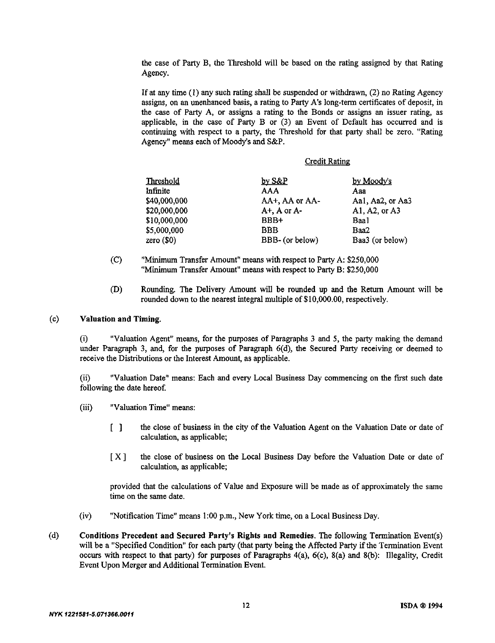the case of Party B, the Threshold will be based on the rating assigned by that Rating Agency.

If at any time (1) any such rating shall be suspended or withdrawn, (2) no Rating Agency assigns, on an unenhanced basis, a rating to Party A's long-term certificates of deposit, in the case of Party A, or assigns a rating to the Bonds or assigns an issuer rating, as applicable, in the case of Party B or (3) an Event of Default has occurred and is continuing with respect to a party, the Threshold for that party shall be zero. "Rating Agency" means each of Moody's and S&P.

#### Credit Rating

| <b>Threshold</b> | <u>by S&amp;P</u> | by Moody's       |
|------------------|-------------------|------------------|
| Infinite         | AAA               | Aaa              |
| \$40,000,000     | AA+, AA or AA-    | Aal, Aa2, or Aa3 |
| \$20,000,000     | $A+$ A or $A-$    | A1, A2, or A3    |
| \$10,000,000     | BBB+              | Baa1             |
| \$5,000,000      | BBB               | Baa2             |
| zero $(50)$      | BBB- (or below)   | Baa3 (or below)  |

- (C) "Minimum Transfer Amount" means with respect to Party A: \$250,000 "Minimum Transfer Amount" means with respect to Party B: \$250,000
- (D) Rounding. The Delivery Amount will be rounded up and the Return Amount will be rounded down to the nearest integral multiple of \$10,000.00, respectively.

#### (c) **Valuation and Timing.**

(i) "Valuation Agent" means, for the purposes of Paragraphs 3 and 5, the party making the demand under Paragraph 3, and, for the purposes of Paragraph  $6(d)$ , the Secured Party receiving or deemed to receive the Distributions or the Interest Amount, as applicable.

(ii) "Valuation Date" means: Each and every Local Business Day commencing on the first such date following the date hereof.

- (iii) "Valuation Time" means:
	- [ ] the close of business in the city of the Valuation Agent on the Valuation Date or date of calculation, as applicable;
	- [ X ] the close of business on the Local Business Day before the Valuation Date or date of calculation, as applicable;

provided that the calculations of Value and Exposure will be made as of approximately the same time on the same date.

- (iv) "Notification Time" means 1:00 p.m.. New York time, on a Local Business Day.
- (d) **Conditions Precedent and Secured Party's Rights and Remedies.** The following Termination Event(s) will be a "Specified Condition" for each party (that party being the Affected Party if the Termination Event occurs with respect to that party) for purposes of Paragraphs 4(a), 6(c), 8(a) and 8(b): Illegality, Credit Event Upon Merger and Additional Termination Event.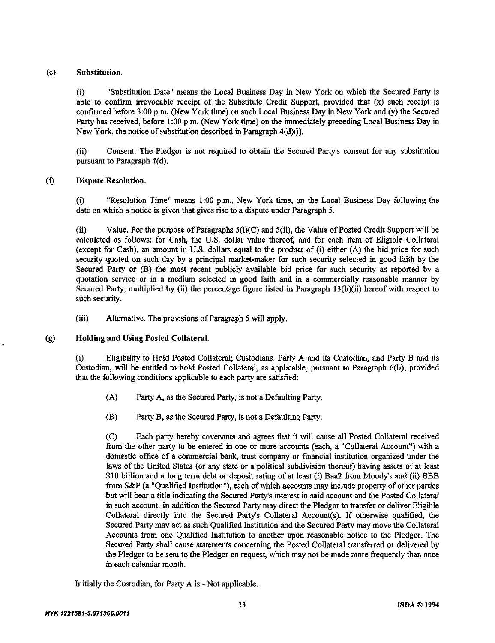#### **(e) Substitution.**

(i) "Substitution Date" means the Local Business Day in New York on which the Secured Party is able to confirm irrevocable receipt of the Substitute Credit Support, provided that (x) such receipt is confirmed before 3:00 p.m. (New York time) on such Local Business Day in New York and (y) the Secured Party has received, before 1:00 p.m. (New York time) on the immediately preceding Local Business Day in New York, the notice of substitution described in Paragraph 4(d)(i).

(ii) Consent. The Pledgor is not required to obtain the Secured Party's consent for any substitution pursuant to Paragraph 4(d).

#### (f) **Dispute Resolution.**

(i) "Resolution Time" means 1:00 p.m.. New York time, on the Local Business Day following the date on which a notice is given that gives rise to a dispute under Paragraph 5.

(ii) Value. For the purpose of Paragraphs 5(i)(C) and 5(ii), the Value of Posted Credit Support will be calculated as follows: for Cash, the U.S. dollar value thereof, and for each item of Eligible Collateral (except for Cash), an amount in U.S. dollars equal to the product of (i) either (A) the bid price for such security quoted on such day by a principal market-maker for such security selected in good faith by the Secured Party or (B) the most recent publicly available bid price for such security as reported by a quotation service or in a medium selected in good faith and in a commercially reasonable manner by Secured Party, multiplied by (ii) the percentage figure listed in Paragraph 13(b)(ii) hereof with respect to such security.

(iii) Alternative. The provisions of Paragraph 5 will apply.

#### (g) **Holding and Using Posted Collateral.**

(i) Eligibility to Hold Posted Collateral; Custodians. Party A and its Custodian, and Party B and its Custodian, will be entitled to hold Posted Collateral, as applicable, pursuant to Paragraph 6(b); provided that the following conditions applicable to each party are satisfied:

- (A) Party A, as the Secured Party, is not a Defaulting Party.
- (B) Party B, as the Secured Party, is not a Defaulting Party.

(C) Each party hereby covenants and agrees that it will cause all Posted Collateral received from the other party to be entered in one or more accounts (each, a "Collateral Account") with a domestic office of a commercial bank, trust company or financial institution organized under the laws of the United States (or any state or a political subdivision thereof) having assets of at least \$10 billion and a long term debt or deposit rating of at least (i) Baa2 from Moody's and (ii) BBB from S&P (a "Qualified Institution"), each of which accounts may include property of other parties but will bear a title indicating the Secured Party's interest in said account and the Posted Collateral in such account. In addition the Secured Party may direct the Pledgor to transfer or deliver Eligible Collateral directly into the Secured Party's Collateral Account(s). If otherwise qualified, the Secured Party may act as such Qualified Institution and the Secured Party may move the Collateral Accounts from one Qualified Institution to another upon reasonable notice to the Pledgor. The Secured Party shall cause statements concerning the Posted Collateral transferred or delivered by the Pledgor to be sent to the Pledgor on request, which may not be made more frequently than once in each calendar month.

Initially the Custodian, for Party A is:- Not applicable.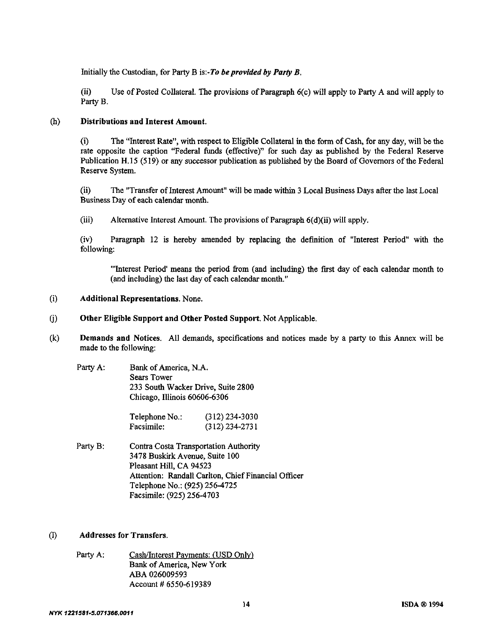Initially the Custodian, for Party B *is:-To be provided by Party B.*

(ii) Use of Posted Collateral. The provisions of Paragraph 6(c) will apply to Party A and will apply to Party B.

#### (h) **Distributions and Interest Amount.**

(i) The "Interest Rate", with respect to Eligible Collateral in the form of Cash, for any day, will be the rate opposite the caption "Federal funds (effective)" for such day as published by the Federal Reserve Publication H.15 (519) or any successor publication as published by the Board of Governors of the Federal Reserve System.

(ii) The "Transfer of Interest Amount" will be made within 3 Local Business Days after the last Local Business Day of each calendar month.

(iii) Alternative Interest Amount. The provisions of Paragraph 6(d)(ii) will apply.

(iv) Paragraph 12 is hereby amended by replacing the defmition of "Interest Period" with the following:

"'Interest Period' means the period from (and including) the first day of each calendar month to (and including) the last day of each calendar month."

#### (i) **Additional Representations.** None.

- (j) **Other Eligible Support and Other Posted Support.** Not Applicable.
- (k) **Demands and Notices.** All demands, specifications and notices made by a party to this Annex will be made to the following:
	- Party A: Bank of America, N.A. Sears Tower 233 South Wacker Drive, Suite 2800 Chicago, Illinois 60606-6306

Telephone No.: (312) 234-3030 Facsimile: (312)234-2731

Party B: Contra Costa Transportation Authority 3478 Buskirk Avenue, Suite 100 Pleasant Hill, CA 94523 Attention: Randall Carlton, Chief Financial Officer Telephone No.: (925) 256-4725 Facsimile: (925) 256-4703

#### (1) Addresses **for Transfers.**

Party A: Cash/Interest Payments: (USD Only) Bank of America, New York ABA 026009593 Account #6550-619389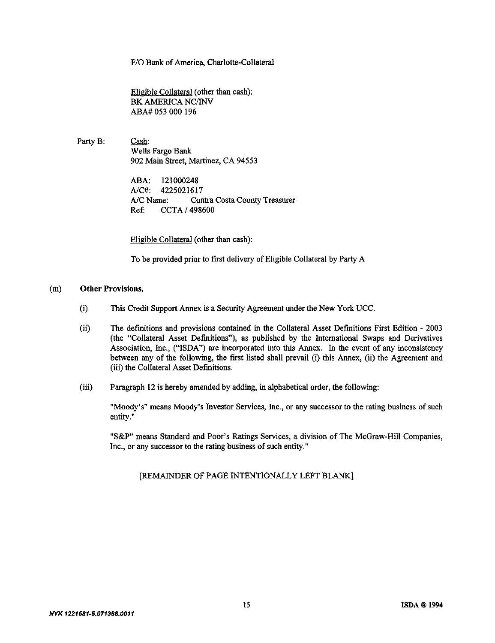F/0 Bank of America, Charlotte-Collateral

Eligible Collateral (other than cash): BK AMERICA NC/INV ABA#053 000 196

Party B: Cash: Wells Fargo Bank 902 Main Street, Martinez, CA 94553

> ABA: 121000248 A/C#: 4225021617<br>A/C Name: Con Contra Costa County Treasurer Ref: CCTA / 498600

Eligible Collateral (other than cash):

To be provided prior to first delivery of Eligible Collateral by Party A

#### (m) **Other Provisions.**

- (i) This Credit Support Annex is a Security Agreement under the New York UCC.
- (ii) The definitions and provisions contained in the Collateral Asset Definitions First Edition 2003 (the "Collateral Asset Definitions"), as published by the International Swaps and Derivatives Association, Inc., ("ISDA") are incorporated into this Annex. In the event of any inconsistency between any of the following, the first listed shall prevail (i) this Annex, (ii) the Agreement and (iii) the Collateral Asset Definitions.
- (iii) Paragraph 12 is hereby amended by adding, in alphabetical order, the following:

"Moody's" means Moody's Investor Services, Inc., or any successor to the rating business of such entity."

"S&P" means Standard and Poor's Ratings Services, a division of The McGraw-Hill Companies, Inc., or any successor to the rating business of such entity."

[REMAINDER OF PAGE INTENTIONALLY LEFT BLANK]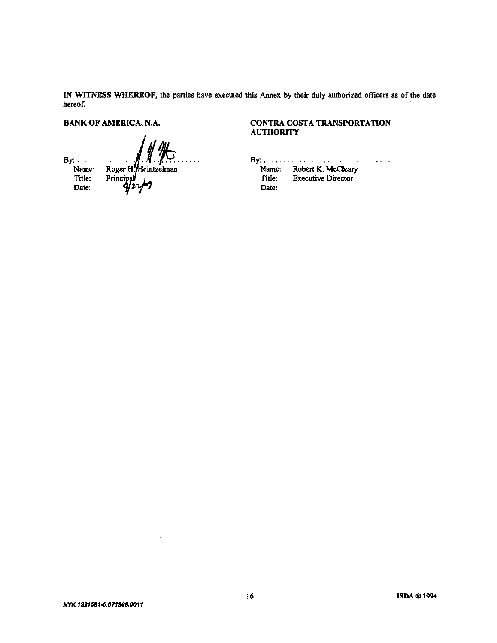**IN WITNESS WHEREOF,** the parties have executed this Annex by their duly authorized officers as of the date hereof.

**BANK OF AMERICA,** N.A.

 $By: \ldots$ . Name: Roger H./Heintzelman Title: Principal *•* Date: *<i><i>a* y<sup>ty</sup>

#### **CONTRA COSTA TRANSPORTATION AUTHORITY**

|        | Name: Robert K. McCleary  |
|--------|---------------------------|
| Title: | <b>Executive Director</b> |
| Date:  |                           |